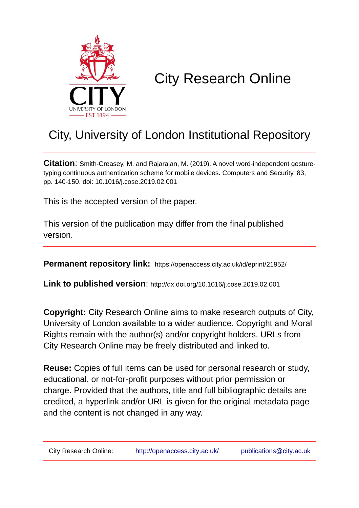

# City Research Online

# City, University of London Institutional Repository

**Citation**: Smith-Creasey, M. and Rajarajan, M. (2019). A novel word-independent gesturetyping continuous authentication scheme for mobile devices. Computers and Security, 83, pp. 140-150. doi: 10.1016/j.cose.2019.02.001

This is the accepted version of the paper.

This version of the publication may differ from the final published version.

**Permanent repository link:** https://openaccess.city.ac.uk/id/eprint/21952/

**Link to published version**: http://dx.doi.org/10.1016/j.cose.2019.02.001

**Copyright:** City Research Online aims to make research outputs of City, University of London available to a wider audience. Copyright and Moral Rights remain with the author(s) and/or copyright holders. URLs from City Research Online may be freely distributed and linked to.

**Reuse:** Copies of full items can be used for personal research or study, educational, or not-for-profit purposes without prior permission or charge. Provided that the authors, title and full bibliographic details are credited, a hyperlink and/or URL is given for the original metadata page and the content is not changed in any way.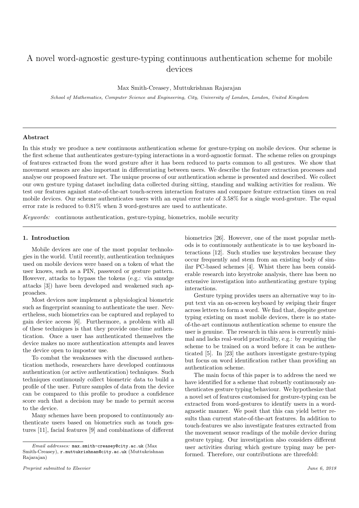# A novel word-agnostic gesture-typing continuous authentication scheme for mobile devices

Max Smith-Creasey, Muttukrishnan Rajarajan

School of Mathematics, Computer Science and Engineering, City, University of London, London, United Kingdom

# Abstract

In this study we produce a new continuous authentication scheme for gesture-typing on mobile devices. Our scheme is the first scheme that authenticates gesture-typing interactions in a word-agnostic format. The scheme relies on groupings of features extracted from the word gesture after it has been reduced to parts common to all gestures. We show that movement sensors are also important in differentiating between users. We describe the feature extraction processes and analyse our proposed feature set. The unique process of our authentication scheme is presented and described. We collect our own gesture typing dataset including data collected during sitting, standing and walking activities for realism. We test our features against state-of-the-art touch-screen interaction features and compare feature extraction times on real mobile devices. Our scheme authenticates users with an equal error rate of 3.58% for a single word-gesture. The equal error rate is reduced to 0.81% when 3 word-gestures are used to authenticate.

Keywords: continuous authentication, gesture-typing, biometrics, mobile security

# 1. Introduction

Mobile devices are one of the most popular technologies in the world. Until recently, authentication techniques used on mobile devices were based on a token of what the user knows, such as a PIN, password or gesture pattern. However, attacks to bypass the tokens (e.g.: via smudge attacks [3]) have been developed and weakened such approaches.

Most devices now implement a physiological biometric such as fingerprint scanning to authenticate the user. Nevertheless, such biometrics can be captured and replayed to gain device access [6]. Furthermore, a problem with all of these techniques is that they provide one-time authentication. Once a user has authenticated themselves the device makes no more authentication attempts and leaves the device open to impostor use.

To combat the weaknesses with the discussed authentication methods, researchers have developed continuous authentication (or active authentication) techniques. Such techniques continuously collect biometric data to build a profile of the user. Future samples of data from the device can be compared to this profile to produce a confidence score such that a decision may be made to permit access to the device.

Many schemes have been proposed to continuously authenticate users based on biometrics such as touch gestures [11], facial features [9] and combinations of different

Preprint submitted to Elsevier Supersection of the Second Supersection of the Second Supersection of the Second Supersection of the Second Supersection of the Second Supersection of the Second Supersection of the Second Su

biometrics [26]. However, one of the most popular methods is to continuously authenticate is to use keyboard interactions [12]. Such studies use keystrokes because they occur frequently and stem from an existing body of similar PC-based schemes [4]. Whist there has been considerable research into keystroke analysis, there has been no extensive investigation into authenticating gesture typing interactions.

Gesture typing provides users an alternative way to input text via an on-screen keyboard by swiping their finger across letters to form a word. We find that, despite gesture typing existing on most mobile devices, there is no stateof-the-art continuous authentication scheme to ensure the user is genuine. The research in this area is currently minimal and lacks real-world practicality, e.g.: by requiring the scheme to be trained on a word before it can be authenticated [5]. In [23] the authors investigate gesture-typing but focus on word identification rather than providing an authentication scheme.

The main focus of this paper is to address the need we have identified for a scheme that robustly continuously authenticates gesture typing behaviour. We hypothesize that a novel set of features customised for gesture-typing can be extracted from word-gestures to identify users in a wordagnostic manner. We posit that this can yield better results than current state-of-the-art features. In addition to touch-features we also investigate features extracted from the movement sensor readings of the mobile device during gesture typing. Our investigation also considers different user activities during which gesture typing may be performed. Therefore, our contributions are threefold:

Email addresses: max.smith-creasey@city.ac.uk (Max Smith-Creasey), r.muttukrishnan@city.ac.uk (Muttukrishnan Rajarajan)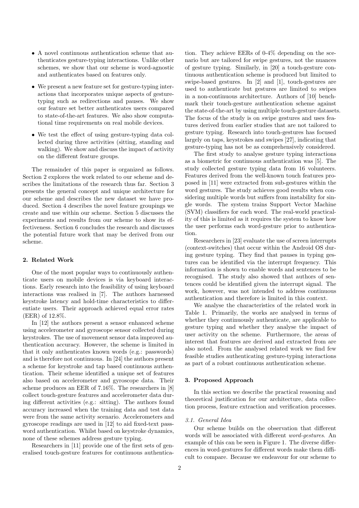- A novel continuous authentication scheme that authenticates gesture-typing interactions. Unlike other schemes, we show that our scheme is word-agnostic and authenticates based on features only.
- We present a new feature set for gesture-typing interactions that incorporates unique aspects of gesturetyping such as redirections and pauses. We show our feature set better authenticates users compared to state-of-the-art features. We also show computational time requirements on real mobile devices.
- We test the effect of using gesture-typing data collected during three activities (sitting, standing and walking). We show and discuss the impact of activity on the different feature groups.

The remainder of this paper is organized as follows. Section 2 explores the work related to our scheme and describes the limitations of the research thus far. Section 3 presents the general concept and unique architecture for our scheme and describes the new dataset we have produced. Section 4 describes the novel feature groupings we create and use within our scheme. Section 5 discusses the experiments and results from our scheme to show its effectiveness. Section 6 concludes the research and discusses the potential future work that may be derived from our scheme.

# 2. Related Work

One of the most popular ways to continuously authenticate users on mobile devices is via keyboard interactions. Early research into the feasibility of using keyboard interactions was realised in [7]. The authors harnessed keystroke latency and hold-time characteristics to differentiate users. Their approach achieved equal error rates (EER) of 12.8%.

In [12] the authors present a sensor enhanced scheme using accelerometer and gyroscope sensor collected during keystrokes. The use of movement sensor data improved authentication accuracy. However, the scheme is limited in that it only authenticates known words (e.g.: passwords) and is therefore not continuous. In [24] the authors present a scheme for keystroke and tap based continuous authentication. Their scheme identified a unique set of features also based on accelerometer and gyroscope data. Their scheme produces an EER of 7.16%. The researchers in [8] collect touch-gesture features and accelerometer data during different activities (e.g.: sitting). The authors found accuracy increased when the training data and test data were from the same activity scenario. Accelerometers and gyroscope readings are used in [12] to aid fixed-text password authentication. Whilst based on keystroke dynamics, none of these schemes address gesture typing.

Researchers in [11] provide one of the first sets of generalised touch-gesture features for continuous authentica-

tion. They achieve EERs of 0-4% depending on the scenario but are tailored for swipe gestures, not the nuances of gesture typing. Similarly, in [20] a touch-gesture continuous authentication scheme is produced but limited to swipe-based gestures. In [2] and [1], touch-gestures are used to authenticate but gestures are limited to swipes in a non-continuous architecture. Authors of [10] benchmark their touch-gesture authentication scheme against the state-of-the-art by using multiple touch-gesture datasets. The focus of the study is on swipe gestures and uses features derived from earlier studies that are not tailored to gesture typing. Research into touch-gestures has focused largely on taps, keystrokes and swipes [27], indicating that gesture-typing has not be as comprehensively considered.

The first study to analyse gesture typing interactions as a biometric for continuous authentication was [5]. The study collected gesture typing data from 16 volunteers. Features derived from the well-known touch features proposed in [11] were extracted from sub-gestures within the word gestures. The study achieves good results when considering multiple words but suffers from instability for single words. The system trains Support Vector Machine (SVM) classifiers for each word. The real-world practicality of this is limited as it requires the system to know how the user performs each word-gesture prior to authentication.

Researchers in [23] evaluate the use of screen interrupts (context-switches) that occur within the Android OS during gesture typing. They find that pauses in typing gestures can be identified via the interrupt frequency. This information is shown to enable words and sentences to be recognised. The study also showed that authors of sentences could be identified given the interrupt signal. The work, however, was not intended to address continuous authentication and therefore is limited in this context.

We analyse the characteristics of the related work in Table 1. Primarily, the works are analysed in terms of whether they continuously authenticate, are applicable to gesture typing and whether they analyse the impact of user activity on the scheme. Furthermore, the areas of interest that features are derived and extracted from are also noted. From the analysed related work we find few feasible studies authenticating gesture-typing interactions as part of a robust continuous authentication scheme.

## 3. Proposed Approach

In this section we describe the practical reasoning and theoretical justification for our architecture, data collection process, feature extraction and verification processes.

# 3.1. General Idea

Our scheme builds on the observation that different words will be associated with different word-gestures. An example of this can be seen in Figure 1. The diverse differences in word-gestures for different words make them difficult to compare. Because we endeavour for our scheme to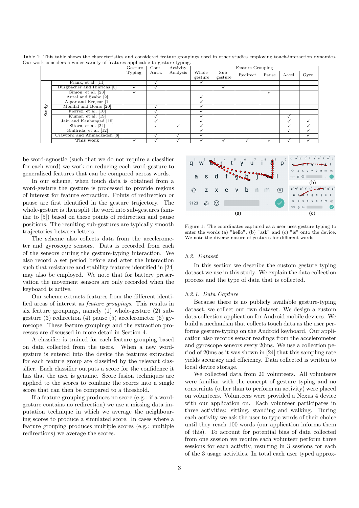|       |                             | Gesture | Cont. | Activity | Feature Grouping  |                   |          |       |        |       |
|-------|-----------------------------|---------|-------|----------|-------------------|-------------------|----------|-------|--------|-------|
|       |                             | Typing  | Auth. | Analysis | Whole-<br>gesture | $Sub-$<br>gesture | Redirect | Pause | Accel. | Gyro. |
|       | Frank, et al. $[11]$        |         |       |          |                   |                   |          |       |        |       |
|       | Burgbacher and Hinrichs [5] |         |       |          |                   |                   |          |       |        |       |
|       | Simon, et al. [23]          |         |       |          |                   |                   |          |       |        |       |
|       | Antal and Szabo [2]         |         |       |          |                   |                   |          |       |        |       |
|       | Alpar and Krejcar [1]       |         |       |          |                   |                   |          |       |        |       |
|       | Mondal and Bours [20]       |         |       |          |                   |                   |          |       |        |       |
| Study | Fierrez, et al. [10]        |         |       |          |                   |                   |          |       |        |       |
|       | Kumar, et al. [19]          |         |       |          |                   |                   |          |       |        |       |
|       | Jain and Kanhangad [15]     |         |       |          |                   |                   |          |       |        |       |
|       | Sitova, et al. $[24]$       |         |       |          |                   |                   |          |       |        |       |
|       | Giuffrida, et al. [12]      |         |       |          |                   |                   |          |       |        |       |
|       | Crawford and Ahmadzadeh [8] |         |       |          |                   |                   |          |       |        |       |
|       | This work                   |         |       |          |                   |                   |          |       |        |       |

Table 1: This table shows the characteristics and considered feature groupings used in other studies employing touch-interaction dynamics. Our work considers a wider variety of features applicable to gesture typing.

be word-agnostic (such that we do not require a classifier for each word) we work on reducing each word-gesture to generalised features that can be compared across words.

In our scheme, when touch data is obtained from a word-gesture the gesture is processed to provide regions of interest for feature extraction. Points of redirection or pause are first identified in the gesture trajectory. The whole-gesture is then split the word into sub-gestures (similar to [5]) based on these points of redirection and pause positions. The resulting sub-gestures are typically smooth trajectories between letters.

The scheme also collects data from the accelerometer and gyroscope sensors. Data is recorded from each of the sensors during the gesture-typing interaction. We also record a set period before and after the interaction such that resistance and stability features identified in [24] may also be employed. We note that for battery preservation the movement sensors are only recorded when the keyboard is active.

Our scheme extracts features from the different identified areas of interest as feature groupings. This results in six feature groupings, namely (1) whole-gesture (2) subgesture  $(3)$  redirection  $(4)$  pause  $(5)$  accelerometer  $(6)$  gyroscope. These feature groupings and the extraction processes are discussed in more detail in Section 4.

A classifier is trained for each feature grouping based on data collected from the users. When a new wordgesture is entered into the device the features extracted for each feature group are classified by the relevant classifier. Each classifier outputs a score for the confidence it has that the user is genuine. Score fusion techniques are applied to the scores to combine the scores into a single score that can then be compared to a threshold.

If a feature grouping produces no score (e.g.: if a wordgesture contains no redirection) we use a missing data imputation technique in which we average the neighbouring scores to produce a simulated score. In cases where a feature grouping produces multiple scores (e.g.: multiple redirections) we average the scores.



Figure 1: The coordinates captured as a user uses gesture typing to enter the words (a) "hello", (b) "ask" and (c) "is" onto the device. We note the diverse nature of gestures for different words.

# 3.2. Dataset

In this section we describe the custom gesture typing dataset we use in this study. We explain the data collection process and the type of data that is collected.

#### 3.2.1. Data Capture

Because there is no publicly available gesture-typing dataset, we collect our own dataset. We design a custom data collection application for Android mobile devices. We build a mechanism that collects touch data as the user performs gesture-typing on the Android keyboard. Our application also records sensor readings from the accelerometer and gyroscope sensors every 20ms. We use a collection period of 20ms as it was shown in [24] that this sampling rate yields accuracy and efficiency. Data collected is written to local device storage.

We collected data from 20 volunteers. All volunteers were familiar with the concept of gesture typing and no constraints (other than to perform an activity) were placed on volunteers. Volunteers were provided a Nexus 4 device with our application on. Each volunteer participates in three activities: sitting, standing and walking. During each activity we ask the user to type words of their choice until they reach 100 words (our application informs them of this). To account for potential bias of data collected from one session we require each volunteer perform three sessions for each activity, resulting in 3 sessions for each of the 3 usage activities. In total each user typed approx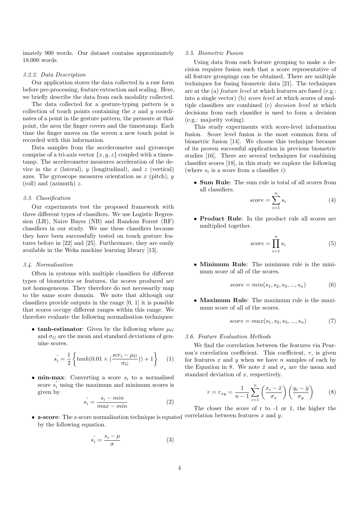imately 900 words. Our dataset contains approximately 18,000 words.

# 3.2.2. Data Description

Our application stores the data collected in a raw form before pre-processing, feature extraction and scaling. Here, we briefly describe the data from each modality collected.

The data collected for a gesture-typing pattern is a collection of touch points containing the  $x$  and  $y$  coordinates of a point in the gesture pattern, the pressure at that point, the area the finger covers and the timestamp. Each time the finger moves on the screen a new touch point is recorded with this information.

Data samples from the accelerometer and gyroscope comprise of a tri-axis vector  $\{x, y, z\}$  coupled with a timestamp. The accelerometer measures acceleration of the device in the x (lateral), y (longitudinal), and z (vertical) axes. The gyroscope measures orientation as  $x$  (pitch),  $y$ (roll) and (azimuth) z.

# 3.3. Classification

Our experiments test the proposed framework with three different types of classifiers. We use Logistic Regression (LR), Naive Bayes (NB) and Random Forest (RF) classifiers in our study. We use these classifiers because they have been successfully tested on touch gesture features before in [22] and [25]. Furthermore, they are easily available in the Weka machine learning library [13].

# 3.4. Normalisation

Often in systems with multiple classifiers for different types of biometrics or features, the scores produced are not homogeneous. They therefore do not necessarily map to the same score domain. We note that although our classifiers provide outputs in the range [0, 1] it is possible that scores occupy different ranges within this range. We therefore evaluate the following normalisation techniques:

• tanh-estimator: Given by the following where  $\mu_G$ and  $\sigma_G$  are the mean and standard deviations of genuine scores.

$$
s_i^{'} = \frac{1}{2} \left\{ \tanh(0.01 \times (\frac{scr_i - \mu_G}{\sigma_G})) + 1 \right\} \tag{1}
$$

• min-max: Converting a score  $s_i$  to a normalised score  $s_i'$  using the maximum and minimum scores is given by.

> $s_i' = \frac{s_i - \mu}{\sigma}$ σ

$$
s_i' = \frac{s_i - min}{max - min} \tag{2}
$$

#### 3.5. Biometric Fusion

Using data from each feature grouping to make a decision requires fusion such that a score representative of all feature groupings can be obtained. There are multiple techniques for fusing biometric data [21]. The techniques are at the (a) feature level at which features are fused (e.g.: into a single vector) (b) score level at which scores of multiple classifiers are combined (c) decision level at which decisions from each classifier is used to form a decision (e.g.: majority voting).

This study experiments with score-level information fusion. Score level fusion is the most common form of biometric fusion [14]. We choose this technique because of its proven successful application in previous biometric studies [16]. There are several techniques for combining classifier scores [18], in this study we explore the following (where  $s_i$  is a score from a classifier i):

• Sum Rule: The sum rule is total of all scores from all classifiers.

$$
score = \sum_{i=1}^{n} s_i \tag{4}
$$

• Product Rule: In the product rule all scores are multiplied together.

$$
score = \prod_{i=1}^{n} s_i \tag{5}
$$

• Minimum Rule: The minimum rule is the minimum score of all of the scores.

$$
score = min(s_1, s_2, s_3, ..., s_n)
$$
 (6)

• Maximum Rule: The maximum rule is the maximum score of all of the scores.

$$
score = max(s_1, s_2, s_3, ..., s_n)
$$
 (7)

## 3.6. Feature Evaluation Methods

We find the correlation between the features via Pearson's correlation coefficient. This coefficient,  $r$ , is given for features  $x$  and  $y$  when we have  $n$  samples of each by the Equation in 8. We note  $\bar{x}$  and  $\sigma_x$  are the mean and standard deviation of  $x$ , respectively.

$$
r = r_{xy} = \frac{1}{n-1} \sum_{i=1}^{n} \left( \frac{x_i - \bar{x}}{\sigma_x} \right) \left( \frac{y_i - \bar{y}}{\sigma_y} \right)
$$
(8)

• **z-score**: The z-score normalisation technique is equated correlation between features x and y. by the following equation. The closer the score of r to -1 or 1, the higher the

(3)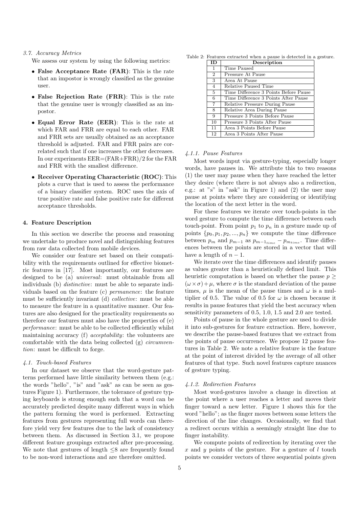# 3.7. Accuracy Metrics

- We assess our system by using the following metrics:
- False Acceptance Rate (FAR): This is the rate that an impostor is wrongly classified as the genuine user.
- False Rejection Rate (FRR): This is the rate that the genuine user is wrongly classified as an impostor.
- Equal Error Rate (EER): This is the rate at which FAR and FRR are equal to each other. FAR and FRR sets are usually obtained as an acceptance threshold is adjusted. FAR and FRR pairs are correlated such that if one increases the other decreases. In our experiments EER=(FAR+FRR)/2 for the FAR and FRR with the smallest difference.
- Receiver Operating Characteristic (ROC): This plots a curve that is used to assess the performance of a binary classifier system. ROC uses the axis of true positive rate and false positive rate for different acceptance thresholds.

#### 4. Feature Description

In this section we describe the process and reasoning we undertake to produce novel and distinguishing features from raw data collected from mobile devices.

We consider our feature set based on their compatibility with the requirements outlined for effective biometric features in [17]. Most importantly, our features are designed to be (a) universal: must obtainable from all individuals (b) *distinctive*: must be able to separate individuals based on the feature (c) permanence: the feature must be sufficiently invariant (d) collective: must be able to measure the feature in a quantitative manner. Our features are also designed for the practicality requirements so therefore our features must also have the properties of (e) performance: must be able to be collected efficiently whilst maintaining accuracy (f) *acceptability*: the volunteers are comfortable with the data being collected (g) circumvention: must be difficult to forge.

# 4.1. Touch-based Features

In our dataset we observe that the word-gesture patterns performed have little similarity between them (e.g.: the words "hello", "is" and "ask" as can be seen as gestures Figure 1). Furthermore, the tolerance of gesture typing keyboards is strong enough such that a word can be accurately predicted despite many different ways in which the pattern forming the word is performed. Extracting features from gestures representing full words can therefore yield very few features due to the lack of consistency between them. As discussed in Section 3.1, we propose different feature groupings extracted after pre-processing. We note that gestures of length  $\leq 8$  are frequently found to be non-word interactions and are therefore omitted.

Table 2: Features extracted when a pause is detected in a gesture.

| <b>ID</b>      | Description                           |
|----------------|---------------------------------------|
| $\mathbf{1}$   | Time Paused                           |
| $\overline{2}$ | Pressure At Pause                     |
| 3              | Area At Pause                         |
| $\overline{4}$ | Relative Paused Time                  |
| 5              | Time Difference 3 Points Before Pause |
| 6              | Time Difference 3 Points After Pause  |
| $\overline{7}$ | <b>Relative Pressure During Pause</b> |
| 8              | Relative Area During Pause            |
| 9              | Pressure 3 Points Before Pause        |
| 10             | Pressure 3 Points After Pause         |
| 11             | Area 3 Points Before Pause            |
| 12             | Area 3 Points After Pause             |

#### 4.1.1. Pause Features

Most words input via gesture-typing, especially longer words, have pauses in. We attribute this to two reasons (1) the user may pause when they have reached the letter they desire (where there is not always also a redirection, e.g.: at "s" in "ask" in Figure 1) and (2) the user may pause at points where they are considering or identifying the location of the next letter in the word.

For these features we iterate over touch-points in the word gesture to compute the time difference between each touch-point. From point  $p_1$  to  $p_n$  in a gesture made up of points  $\{p_0, p_1, p_2, ..., p_n\}$  we compute the time difference between  $p_m$  and  $p_{m-1}$  as  $p_{m-1_{time}} - p_{m_{time}}$ . Time differences between the points are stored in a vector that will have a length of  $n-1$ .

We iterate over the time differences and identify pauses as values greater than a heuristically defined limit. This heuristic computation is based on whether the pause  $p$  $(\omega \times \sigma) + \mu$ , where  $\sigma$  is the standard deviation of the pause times,  $\mu$  is the mean of the pause times and  $\omega$  is a multiplier of 0.5. The value of 0.5 for  $\omega$  is chosen because it results in pause features that yield the best accuracy when sensitivity parameters of 0.5, 1.0, 1.5 and 2.0 are tested.

Points of pause in the whole gesture are used to divide it into sub-gestures for feature extraction. Here, however, we describe the pause-based features that we extract from the points of pause occurrence. We propose 12 pause features in Table 2. We note a relative feature is the feature at the point of interest divided by the average of all other features of that type. Such novel features capture nuances of gesture typing.

# 4.1.2. Redirection Features

Most word-gestures involve a change in direction at the point where a user reaches a letter and moves their finger toward a new letter. Figure 1 shows this for the word "hello"; as the finger moves between some letters the direction of the line changes. Occasionally, we find that a redirect occurs within a seemingly straight line due to finger instability.

We compute points of redirection by iterating over the x and y points of the gesture. For a gesture of  $l$  touch points we consider vectors of three sequential points given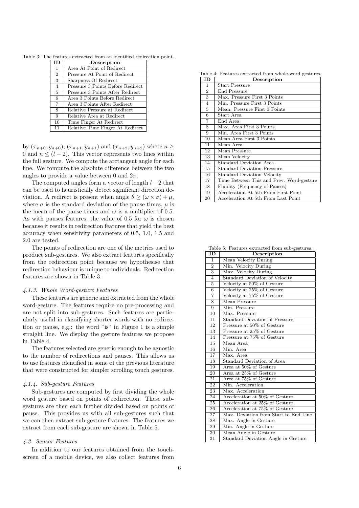Table 3: The features extracted from an identified redirection point.

| ID             | Description                       |
|----------------|-----------------------------------|
| $\overline{1}$ | Area At Point of Redirect         |
| $\overline{2}$ | Pressure At Point of Redirect     |
| 3              | Sharpness Of Redirect             |
| $\overline{4}$ | Pressure 3 Points Before Redirect |
| 5              | Pressure 3 Points After Redirect  |
| 6              | Area 3 Points Before Redirect     |
| $\overline{7}$ | Area 3 Points After Redirect      |
| 8              | Relative Pressure at Redirect     |
| 9              | Relative Area at Redirect         |
| 10             | Time Finger At Redirect           |
| 11             | Relative Time Finger At Redirect  |

by  $(x_{n+0}, y_{n+0}), (x_{n+1}, y_{n+1})$  and  $(x_{n+2}, y_{n+2})$  where  $n \geq$ 0 and  $n \leq (l-2)$ . This vector represents two lines within the full gesture. We compute the arctangent angle for each line. We compute the absolute difference between the two angles to provide a value between 0 and  $2\pi$ .

The computed angles form a vector of length  $l-2$  that can be used to heuristically detect significant direction deviation. A redirect is present when angle  $\theta \geq (\omega \times \sigma) + \mu$ , where  $\sigma$  is the standard deviation of the pause times,  $\mu$  is the mean of the pause times and  $\omega$  is a multiplier of 0.5. As with pauses features, the value of 0.5 for  $\omega$  is chosen because it results in redirection features that yield the best accuracy when sensitivity parameters of 0.5, 1.0, 1.5 and 2.0 are tested.

The points of redirection are one of the metrics used to produce sub-gestures. We also extract features specifically from the redirection point because we hypothesise that redirection behaviour is unique to individuals. Redirection features are shown in Table 3.

#### 4.1.3. Whole Word-gesture Features

These features are generic and extracted from the whole word-gesture. The features require no pre-processing and are not split into sub-gestures. Such features are particularly useful in classifying shorter words with no redirection or pause, e.g.: the word "is" in Figure 1 is a simple straight line. We display the gesture features we propose in Table 4.

The features selected are generic enough to be agnostic to the number of redirections and pauses. This allows us to use features identified in some of the previous literature that were constructed for simpler scrolling touch gestures.

#### 4.1.4. Sub-gesture Features

Sub-gestures are computed by first dividing the whole word gesture based on points of redirection. These subgestures are then each further divided based on points of pause. This provides us with all sub-gestures such that we can then extract sub-gesture features. The features we extract from each sub-gesture are shown in Table 5.

#### 4.2. Sensor Features

In addition to our features obtained from the touchscreen of a mobile device, we also collect features from

Table 4: Features extracted from whole-word gestures.

| ΙD             | Description                              |  |  |  |  |
|----------------|------------------------------------------|--|--|--|--|
| 1              | <b>Start Pressure</b>                    |  |  |  |  |
| $\overline{2}$ | End Pressure                             |  |  |  |  |
| 3              | Max. Pressure First 3 Points             |  |  |  |  |
| $\overline{4}$ | Min. Pressure First 3 Points             |  |  |  |  |
| 5              | Mean. Pressure First 3 Points            |  |  |  |  |
| 6              | Start Area                               |  |  |  |  |
| 7              | End Area                                 |  |  |  |  |
| 8              | Max. Area First 3 Points                 |  |  |  |  |
| 9              | Min. Area First 3 Points                 |  |  |  |  |
| 10             | Mean Area First 3 Points                 |  |  |  |  |
| 11             | Mean Area                                |  |  |  |  |
| 12             | Mean Pressure                            |  |  |  |  |
| 13             | Mean Velocity                            |  |  |  |  |
| 14             | Standard Deviation Area                  |  |  |  |  |
| 15             | <b>Standard Deviation Pressure</b>       |  |  |  |  |
| 16             | <b>Standard Deviation Velocity</b>       |  |  |  |  |
| 17             | Time Between This and Prev. Word-gesture |  |  |  |  |
| 18             | Fluidity (Frequency of Pauses)           |  |  |  |  |
| 19             | Acceleration At 5th From First Point     |  |  |  |  |
| 20             | Acceleration At 5th From Last Point      |  |  |  |  |

Table 5: Features extracted from sub-gestures.

| $\overline{\text{ID}}$    | Description                                |  |  |
|---------------------------|--------------------------------------------|--|--|
| $\mathbf{1}$              | Mean Velocity During                       |  |  |
| $\overline{2}$            | Min. Velocity During                       |  |  |
| $\overline{\overline{3}}$ | Max. Velocity During                       |  |  |
| $\overline{4}$            | <b>Standard Deviation of Velocity</b>      |  |  |
| $\overline{5}$            | Velocity at 50% of Gesture                 |  |  |
| $\overline{6}$            | Velocity at 25% of Gesture                 |  |  |
| $\overline{7}$            | Velocity at 75% of Gesture                 |  |  |
| 8                         | Mean Pressure                              |  |  |
| 9                         | Min. Pressure                              |  |  |
| 10                        | Max. Pressure                              |  |  |
| 11                        | Standard Deviation of Pressure             |  |  |
| 12                        | Pressure at 50% of Gesture                 |  |  |
| $\overline{13}$           | Pressure at 25% of Gesture                 |  |  |
| 14                        | Pressure at 75% of Gesture                 |  |  |
| $\overline{15}$           | Mean Area                                  |  |  |
| $\overline{16}$           | Min. Area.                                 |  |  |
| 17                        | Max. Area                                  |  |  |
| 18                        | Standard Deviation of Area                 |  |  |
| 19                        | Area at 50% of Gesture                     |  |  |
| 20                        | Area at 25% of Gesture                     |  |  |
| 21                        | Area at 75% of Gesture                     |  |  |
| $\overline{22}$           | Min. Acceleration                          |  |  |
| 23                        | Max. Acceleration                          |  |  |
| 24                        | Acceleration at 50% of Gesture             |  |  |
| $\overline{25}$           | Acceleration at 25% of Gesture             |  |  |
| 26                        | Acceleration at 75% of Gesture             |  |  |
| 27                        | Max. Deviation from Start to End Line      |  |  |
| 28                        | Max. Angle in Gesture                      |  |  |
| 29                        | Min. Angle in Gesture                      |  |  |
| 30                        | Mean Angle in Gesture                      |  |  |
| $\overline{31}$           | <b>Standard Deviation Angle in Gesture</b> |  |  |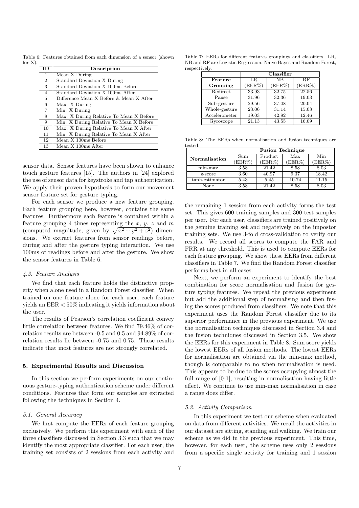Table 6: Features obtained from each dimension of a sensor (shown for X).

| ID             | Description                             |
|----------------|-----------------------------------------|
| $\mathbf{1}$   | Mean X During                           |
| $\overline{2}$ | Standard Deviation X During             |
| 3              | Standard Deviation X 100ms Before       |
| $\overline{4}$ | Standard Deviation X 100ms After        |
| 5              | Difference Mean X Before & Mean X After |
| 6              | Max. X During                           |
| 7              | Min. X During                           |
| 8              | Max. X During Relative To Mean X Before |
| 9              | Min. X During Relative To Mean X Before |
| 10             | Max. X During Relative To Mean X After  |
| 11             | Min. X During Relative To Mean X After  |
| 12             | Mean X 100ms Before                     |
| 13             | Mean X 100ms After                      |

sensor data. Sensor features have been shown to enhance touch gesture features [15]. The authors in [24] explored the use of sensor data for keystroke and tap authentication. We apply their proven hypothesis to form our movement sensor feature set for gesture typing.

For each sensor we produce a new feature grouping. Each feature grouping here, however, contains the same features. Furthermore each feature is contained within a feature grouping 4 times representing the  $x, y, z$  and m (computed magnitude, given by  $\sqrt{x^2 + y^2 + z^2}$ ) dimensions. We extract features from sensor readings before, during and after the gesture typing interaction. We use 100ms of readings before and after the gesture. We show the sensor features in Table 6.

# 4.3. Feature Analysis

We find that each feature holds the distinctive property when alone used in a Random Forest classifier. When trained on one feature alone for each user, each feature yields an EER < 50% indicating it yields information about the user.

The results of Pearson's correlation coefficient convey little correlation between features. We find 79.46% of correlation results are between -0.5 and 0.5 and 94.89% of correlation results lie between -0.75 and 0.75. These results indicate that most features are not strongly correlated.

# 5. Experimental Results and Discussion

In this section we perform experiments on our continuous gesture-typing authentication scheme under different conditions. Features that form our samples are extracted following the techniques in Section 4.

# 5.1. General Accuracy

We first compute the EERs of each feature grouping exclusively. We perform this experiment with each of the three classifiers discussed in Section 3.3 such that we may identify the most appropriate classifier. For each user, the training set consists of 2 sessions from each activity and

Table 7: EERs for different features groupings and classifiers. LR, NB and RF are Logistic Regression, Naive Bayes and Random Forest, respectively.

|               | Classifier |        |           |  |
|---------------|------------|--------|-----------|--|
| Feature       | LR.        | NΒ     | <b>RF</b> |  |
| Grouping      | (EER%)     | (EER%) | (ERR%)    |  |
| Redirect      | 33.93      | 32.75  | 22.56     |  |
| Pause         | 31.96      | 32.36  | 19.03     |  |
| Sub-gesture   | 29.56      | 37.08  | 20.04     |  |
| Whole-gesture | 23.06      | 31.14  | 15.08     |  |
| Accelerometer | 19.03      | 42.92  | 12.46     |  |
| Gyroscope     | 21.13      | 43.55  | 16.09     |  |

Table 8: The EERs when normalisation and fusion techniques are tested.

|                | <b>Fusion Technique</b> |         |        |        |  |
|----------------|-------------------------|---------|--------|--------|--|
| Normalisation  | Sum                     | Product | Max    | Min    |  |
|                | (EER%)                  | (EER%)  | (EER%) | (EER%) |  |
| $min-max$      | 3.58                    | 21.42   | 8.58   | 8.03   |  |
| z-score        | 3.60                    | 40.97   | 9.37   | 18.42  |  |
| tanh-estimator | 5.43                    | 5.45    | 10.74  | 11.15  |  |
| $\rm None$     | 3.58                    | 21.42   | 8.58   | 8.03   |  |

the remaining 1 session from each activity forms the test set. This gives 600 training samples and 300 test samples per user. For each user, classifiers are trained positively on the genuine training set and negateively on the impostor training sets. We use 3-fold cross-validation to verify our results. We record all scores to compute the FAR and FRR at any threshold. This is used to compute EERs for each feature grouping. We show these EERs from different classifiers in Table 7. We find the Random Forest classifier performs best in all cases.

Next, we perform an experiment to identify the best combination for score normalisation and fusion for gesture typing features. We repeat the previous experiment but add the additional step of normalising and then fusing the scores produced from classifiers. We note that this experiment uses the Random Forest classifier due to its superior performance in the previous experiment. We use the normalisation techniques discussed in Section 3.4 and the fusion techniques discussed in Section 3.5. We show the EERs for this experiment in Table 8. Sum score yields the lowest EERs of all fusion methods. The lowest EERs for normalisation are obtained via the min-max method, though is comparable to no when normalisation is used. This appears to be due to the scores occupying almost the full range of [0-1], resulting in normalisation having little effect. We continue to use min-max normalisation in case a range does differ.

## 5.2. Activity Comparison

In this experiment we test our scheme when evaluated on data from different activities. We recall the activities in our dataset are sitting, standing and walking. We train our scheme as we did in the previous experiment. This time, however, for each user, the scheme uses only 2 sessions from a specific single activity for training and 1 session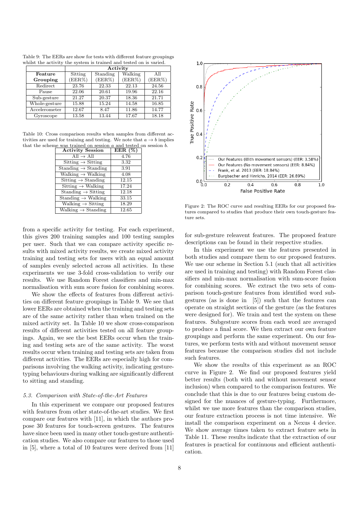| Table 9: The EERs are show for tests with different feature groupings |  |
|-----------------------------------------------------------------------|--|
| whilst the activity the system is trained and tested on is varied.    |  |

|               | Activity |          |         |        |  |
|---------------|----------|----------|---------|--------|--|
| Feature       | Sitting  | Standing | Walking | All    |  |
| Grouping      | (EER%)   | (EER%)   | (EER%)  | (EER%) |  |
| Redirect      | 23.76    | 22.33    | 22.13   | 24.56  |  |
| Pause         | 22.06    | 20.61    | 19.96   | 22.16  |  |
| Sub-gesture   | 21.27    | 20.37    | 18.36   | 21.71  |  |
| Whole-gesture | 15.88    | 15.24    | 14.58   | 16.85  |  |
| Accelerometer | 12.67    | 8.47     | 11.86   | 14.77  |  |
| Gyroscope     | 13.58    | 13.44    | 17.67   | 18.18  |  |

Table 10: Cross comparison results when samples from different activities are used for training and testing. We note that  $a \to b$  implies that the scheme was trained on session  $a$  and tested on session  $b$ .

| <b>Activity Session</b>                                 | EER(%) |
|---------------------------------------------------------|--------|
| $All \rightarrow All$                                   | 4.76   |
| $Stiting \rightarrow Stting$                            | 3.32   |
| Standing $\rightarrow$ Standing                         | 3.91   |
| Walking $\rightarrow$ Walking                           | 4.08   |
| Sitting $\rightarrow$ Standing                          | 12.15  |
| $Stiting \rightarrow Walking$                           | 17.24  |
| $\overline{\text{Standing}} \rightarrow \text{Stiting}$ | 12.18  |
| Standing $\rightarrow$ Walking                          | 33.15  |
| Walking $\rightarrow$ Sitting                           | 18.29  |
| Walking $\rightarrow$ Standing                          | 12.65  |

from a specific activity for testing. For each experiment, this gives 200 training samples and 100 testing samples per user. Such that we can compare activity specific results with mixed activity results, we create mixed activity training and testing sets for users with an equal amount of samples evenly selected across all activities. In these experiments we use 3-fold cross-validation to verify our results. We use Random Forest classifiers and min-max normalisation with sum score fusion for combining scores.

We show the effects of features from different activities on different feature groupings in Table 9. We see that lower EERs are obtained when the training and testing sets are of the same activity rather than when trained on the mixed activity set. In Table 10 we show cross-comparison results of different activities tested on all feature groupings. Again, we see the best EERs occur when the training and testing sets are of the same activity. The worst results occur when training and testing sets are taken from different activities. The EERs are especially high for comparisons involving the walking activity, indicating gesturetyping behaviours during walking are significantly different to sitting and standing.

#### 5.3. Comparison with State-of-the-Art Features

In this experiment we compare our proposed features with features from other state-of-the-art studies. We first compare our features with [11], in which the authors propose 30 features for touch-screen gestures. The features have since been used in many other touch-gesture authentication studies. We also compare our features to those used in [5], where a total of 10 features were derived from [11]



Figure 2: The ROC curve and resulting EERs for our proposed features compared to studies that produce their own touch-gesture feature sets.

for sub-gesture releavent features. The proposed feature descriptions can be found in their respective studies.

In this experiment we use the features presented in both studies and compare them to our proposed features. We use our scheme in Section 5.1 (such that all activities are used in training and testing) with Random Forest classifiers and min-max normalisation with sum-score fusion for combining scores. We extract the two sets of comparison touch-gesture features from identified word subgestures (as is done in [5]) such that the features can operate on straight sections of the gesture (as the features were designed for). We train and test the system on these features. Subgesture scores from each word are averaged to produce a final score. We then extract our own feature groupings and perform the same experiment. On our features, we perform tests with and without movement sensor features because the comparison studies did not include such features.

We show the results of this experiment as an ROC curve in Figure 2. We find our proposed features yield better results (both with and without movement sensor inclusion) when compared to the comparison features. We conclude that this is due to our features being custom designed for the nuances of gesture-typing. Furthermore, whilst we use more features than the comparison studies, our feature extraction process is not time intensive. We install the comparison experiment on a Nexus 4 device. We show average times taken to extract feature sets in Table 11. These results indicate that the extraction of our features is practical for continuous and efficient authentication.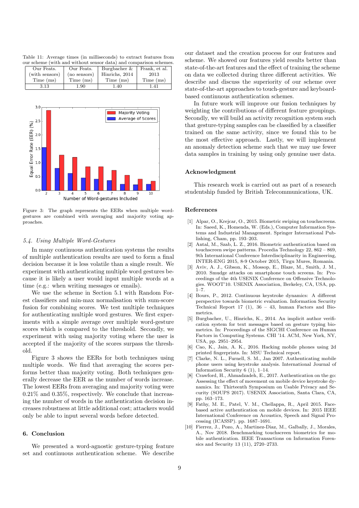Table 11: Average times (in milliseconds) to extract features from our scheme (with and without sensor data) and comparison schemes.

| Our Feats.     | Our Feats.   | Burgbacher &   | Frank, et al. |
|----------------|--------------|----------------|---------------|
| (with sensors) | (no sensors) | Hinrichs, 2014 | 2013          |
| Time (ms)      | Time (ms)    | Time (ms)      | Time (ms)     |
| 3.13           | $1.90\,$     | 1.40           | 1.41          |



Figure 3: The graph represents the EERs when multiple wordgestures are combined with averaging and majority voting approaches.

# 5.4. Using Multiple Word-Gestures

In many continuous authentication systems the results of multiple authentication results are used to form a final decision because it is less volatile than a single result. We experiment with authenticating multiple word gestures because it is likely a user would input multiple words at a time (e.g.: when writing messages or emails).

We use the scheme in Section 5.1 with Random Forest classifiers and min-max normalisation with sum-score fusion for combining scores. We test multiple techniques for authenticating multiple word gestures. We first experiments with a simple average over multiple word-gesture scores which is compared to the threshold. Secondly, we experiment with using majority voting where the user is accepted if the majority of the scores surpass the threshold.

Figure 3 shows the EERs for both techniques using multiple words. We find that averaging the scores performs better than majority voting. Both techniques generally decrease the EER as the number of words increase. The lowest EERs from averaging and majority voting were 0.21% and 0.35%, respectively. We conclude that increasing the number of words in the authentication decision increases robustness at little additional cost; attackers would only be able to input several words before detected.

# 6. Conclusion

We presented a word-agnostic gesture-typing feature set and continuous authentication scheme. We describe

our dataset and the creation process for our features and scheme. We showed our features yield results better than state-of-the-art features and the effect of training the scheme on data we collected during three different activities. We describe and discuss the superiority of our scheme over state-of-the-art approaches to touch-gesture and keyboardbased continuous authentication schemes.

In future work will improve our fusion techniques by weighting the contributions of different feature groupings. Secondly, we will build an activity recognition system such that gesture-typing samples can be classified by a classifier trained on the same activity, since we found this to be the most effective approach. Lastly, we will implement an anomaly detection scheme such that we may use fewer data samples in training by using only genuine user data.

# Acknowledgment

This research work is carried out as part of a research studentship funded by British Telecommunications, UK.

# References

- [1] Alpar, O., Krejcar, O., 2015. Biometric swiping on touchscreens. In: Saeed, K., Homenda, W. (Eds.), Computer Information Systems and Industrial Management. Springer International Publishing, Cham, pp. 193–203.
- [2] Antal, M., Szab, L. Z., 2016. Biometric authentication based on touchscreen swipe patterns. Procedia Technology 22, 862 – 869, 9th International Conference Interdisciplinarity in Engineering, INTER-ENG 2015, 8-9 October 2015, Tirgu Mures, Romania.
- [3] Aviv, A. J., Gibson, K., Mossop, E., Blaze, M., Smith, J. M., 2010. Smudge attacks on smartphone touch screens. In: Proceedings of the 4th USENIX Conference on Offensive Technologies. WOOT'10. USENIX Association, Berkeley, CA, USA, pp.  $1 - 7$ .
- [4] Bours, P., 2012. Continuous keystroke dynamics: A different perspective towards biometric evaluation. Information Security Technical Report 17 (1),  $36 - 43$ , human Factors and Biometrics.
- [5] Burgbacher, U., Hinrichs, K., 2014. An implicit author verification system for text messages based on gesture typing biometrics. In: Proceedings of the SIGCHI Conference on Human Factors in Computing Systems. CHI '14. ACM, New York, NY, USA, pp. 2951–2954.
- [6] Cao, K., Jain, A. K., 2016. Hacking mobile phones using 2d printed fingerprints. In: MSU Technical report.
- Clarke, N. L., Furnell, S. M., Jan 2007. Authenticating mobile phone users using keystroke analysis. International Journal of Information Security 6 (1), 1–14.
- [8] Crawford, H., Ahmadzadeh, E., 2017. Authentication on the go: Assessing the effect of movement on mobile device keystroke dynamics. In: Thirteenth Symposium on Usable Privacy and Security (SOUPS 2017). USENIX Association, Santa Clara, CA, pp. 163–173.
- [9] Fathy, M. E., Patel, V. M., Chellappa, R., April 2015. Facebased active authentication on mobile devices. In: 2015 IEEE International Conference on Acoustics, Speech and Signal Processing (ICASSP). pp. 1687–1691.
- [10] Fierrez, J., Pozo, A., Martinez-Diaz, M., Galbally, J., Morales, A., Nov 2018. Benchmarking touchscreen biometrics for mobile authentication. IEEE Transactions on Information Forensics and Security 13 (11), 2720–2733.